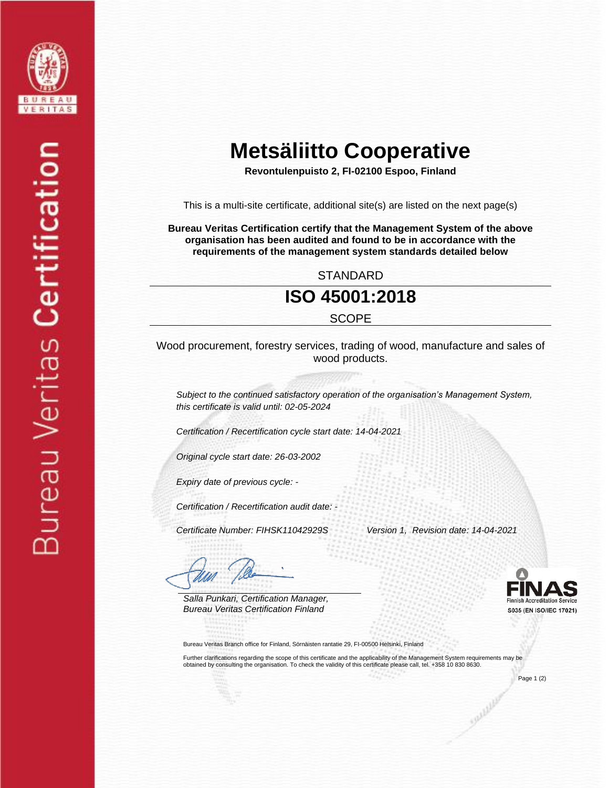

# **Metsäliitto Cooperative**

**Revontulenpuisto 2, FI-02100 Espoo, Finland**

This is a multi-site certificate, additional site(s) are listed on the next page(s)

**Bureau Veritas Certification certify that the Management System of the above organisation has been audited and found to be in accordance with the requirements of the management system standards detailed below**

STANDARD

#### **ISO 45001:2018**

**SCOPE** 

Wood procurement, forestry services, trading of wood, manufacture and sales of wood products.

*Subject to the continued satisfactory operation of the organisation's Management System, this certificate is valid until: 02-05-2024*

*Certification / Recertification cycle start date: 14-04-2021*

*Original cycle start date: 26-03-2002*

*Expiry date of previous cycle: -*

*Certification / Recertification audit date: -*

 *Certificate Number: FIHSK11042929S Version 1, Revision date: 14-04-2021*

*Salla Punkari, Certification Manager, Bureau Veritas Certification Finland* 

Bureau Veritas Branch office for Finland, Sörnäisten rantatie 29, FI-00500 Helsinki, Finland

Further clarifications regarding the scope of this certificate and the applicability of the Management System requirements may be obtained by consulting the organisation. To check the validity of this certificate please call, tel. +358 10 830 8630.

Page 1 (2)

S035 (EN ISO/IEC 17021)